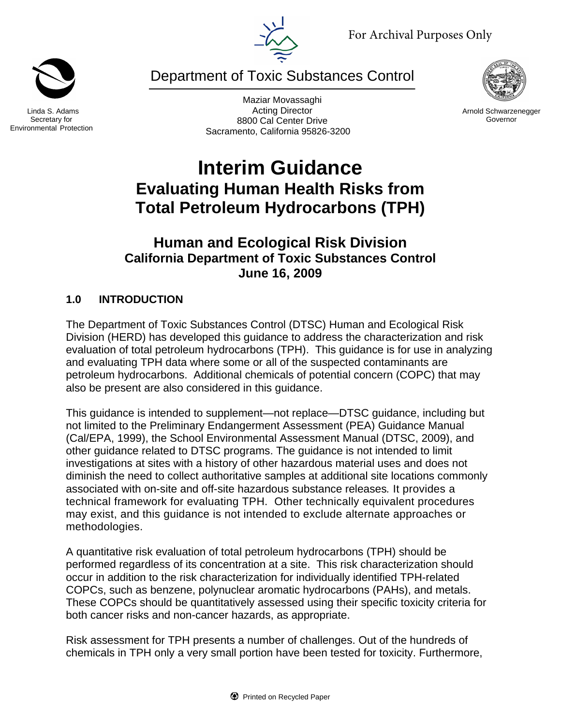

Department of Toxic Substances Control

Maziar Movassaghi Acting Director 8800 Cal Center Drive Sacramento, California 95826-3200

**Interim Guidance Evaluating Human Health Risks from Total Petroleum Hydrocarbons (TPH)** 

# **Human and Ecological Risk Division California Department of Toxic Substances Control June 16, 2009**

# **1.0 INTRODUCTION**

The Department of Toxic Substances Control (DTSC) Human and Ecological Risk Division (HERD) has developed this guidance to address the characterization and risk evaluation of total petroleum hydrocarbons (TPH). This guidance is for use in analyzing and evaluating TPH data where some or all of the suspected contaminants are petroleum hydrocarbons. Additional chemicals of potential concern (COPC) that may also be present are also considered in this guidance.

This guidance is intended to supplement—not replace—DTSC guidance, including but not limited to the Preliminary Endangerment Assessment (PEA) Guidance Manual (Cal/EPA, 1999), the School Environmental Assessment Manual (DTSC, 2009), and other guidance related to DTSC programs. The guidance is not intended to limit investigations at sites with a history of other hazardous material uses and does not diminish the need to collect authoritative samples at additional site locations commonly associated with on-site and off-site hazardous substance releases*.* It provides a technical framework for evaluating TPH. Other technically equivalent procedures may exist, and this guidance is not intended to exclude alternate approaches or methodologies.

A quantitative risk evaluation of total petroleum hydrocarbons (TPH) should be performed regardless of its concentration at a site. This risk characterization should occur in addition to the risk characterization for individually identified TPH-related COPCs, such as benzene, polynuclear aromatic hydrocarbons (PAHs), and metals. These COPCs should be quantitatively assessed using their specific toxicity criteria for both cancer risks and non-cancer hazards, as appropriate.

Risk assessment for TPH presents a number of challenges. Out of the hundreds of chemicals in TPH only a very small portion have been tested for toxicity. Furthermore,



Linda S. Adams Secretary for Environmental Protection



Arnold Schwarzenegger Governor

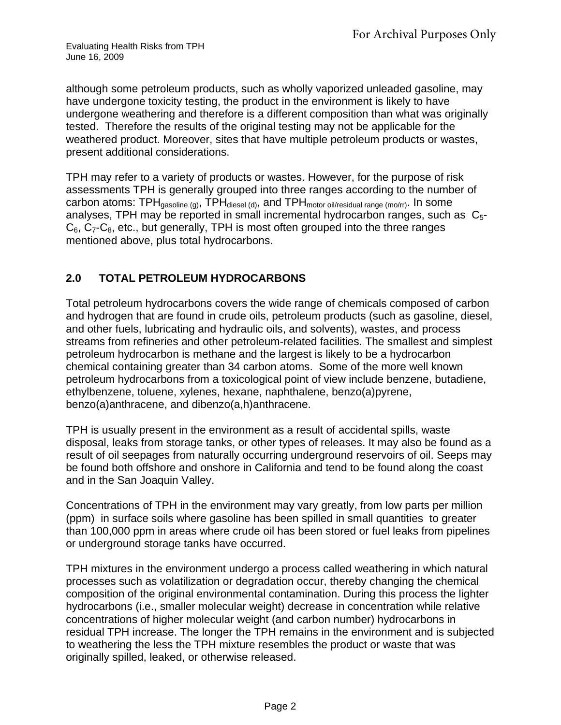although some petroleum products, such as wholly vaporized unleaded gasoline, may have undergone toxicity testing, the product in the environment is likely to have undergone weathering and therefore is a different composition than what was originally tested. Therefore the results of the original testing may not be applicable for the weathered product. Moreover, sites that have multiple petroleum products or wastes, present additional considerations.

TPH may refer to a variety of products or wastes. However, for the purpose of risk assessments TPH is generally grouped into three ranges according to the number of carbon atoms: TPH $_{gasoline (q)}$ , TPH $_{diesel (d)}$ , and TPH $_{motor}$  oil/residual range (mo/rr). In some analyses, TPH may be reported in small incremental hydrocarbon ranges, such as  $C_{5}$ - $C_6$ ,  $C_7$ - $C_8$ , etc., but generally, TPH is most often grouped into the three ranges mentioned above, plus total hydrocarbons.

### **2.0 TOTAL PETROLEUM HYDROCARBONS**

Total petroleum hydrocarbons covers the wide range of chemicals composed of carbon and hydrogen that are found in crude oils, petroleum products (such as gasoline, diesel, and other fuels, lubricating and hydraulic oils, and solvents), wastes, and process streams from refineries and other petroleum-related facilities. The smallest and simplest petroleum hydrocarbon is methane and the largest is likely to be a hydrocarbon chemical containing greater than 34 carbon atoms. Some of the more well known petroleum hydrocarbons from a toxicological point of view include benzene, butadiene, ethylbenzene, toluene, xylenes, hexane, naphthalene, benzo(a)pyrene, benzo(a)anthracene, and dibenzo(a,h)anthracene.

TPH is usually present in the environment as a result of accidental spills, waste disposal, leaks from storage tanks, or other types of releases. It may also be found as a result of oil seepages from naturally occurring underground reservoirs of oil. Seeps may be found both offshore and onshore in California and tend to be found along the coast and in the San Joaquin Valley.

Concentrations of TPH in the environment may vary greatly, from low parts per million (ppm) in surface soils where gasoline has been spilled in small quantities to greater than 100,000 ppm in areas where crude oil has been stored or fuel leaks from pipelines or underground storage tanks have occurred.

TPH mixtures in the environment undergo a process called weathering in which natural processes such as volatilization or degradation occur, thereby changing the chemical composition of the original environmental contamination. During this process the lighter hydrocarbons (i.e., smaller molecular weight) decrease in concentration while relative concentrations of higher molecular weight (and carbon number) hydrocarbons in residual TPH increase. The longer the TPH remains in the environment and is subjected to weathering the less the TPH mixture resembles the product or waste that was originally spilled, leaked, or otherwise released.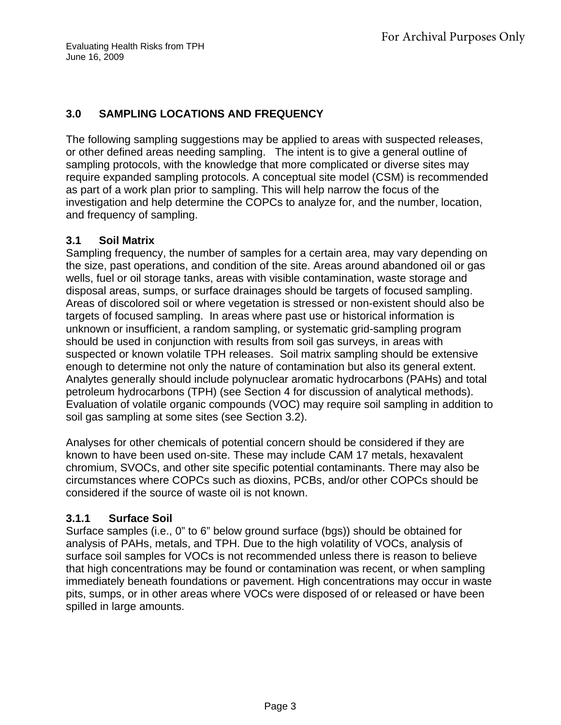### **3.0 SAMPLING LOCATIONS AND FREQUENCY**

The following sampling suggestions may be applied to areas with suspected releases, or other defined areas needing sampling. The intent is to give a general outline of sampling protocols, with the knowledge that more complicated or diverse sites may require expanded sampling protocols. A conceptual site model (CSM) is recommended as part of a work plan prior to sampling. This will help narrow the focus of the investigation and help determine the COPCs to analyze for, and the number, location, and frequency of sampling.

### **3.1 Soil Matrix**

Sampling frequency, the number of samples for a certain area, may vary depending on the size, past operations, and condition of the site. Areas around abandoned oil or gas wells, fuel or oil storage tanks, areas with visible contamination, waste storage and disposal areas, sumps, or surface drainages should be targets of focused sampling. Areas of discolored soil or where vegetation is stressed or non-existent should also be targets of focused sampling. In areas where past use or historical information is unknown or insufficient, a random sampling, or systematic grid-sampling program should be used in conjunction with results from soil gas surveys, in areas with suspected or known volatile TPH releases. Soil matrix sampling should be extensive enough to determine not only the nature of contamination but also its general extent. Analytes generally should include polynuclear aromatic hydrocarbons (PAHs) and total petroleum hydrocarbons (TPH) (see Section 4 for discussion of analytical methods). Evaluation of volatile organic compounds (VOC) may require soil sampling in addition to soil gas sampling at some sites (see Section 3.2).

Analyses for other chemicals of potential concern should be considered if they are known to have been used on-site. These may include CAM 17 metals, hexavalent chromium, SVOCs, and other site specific potential contaminants. There may also be circumstances where COPCs such as dioxins, PCBs, and/or other COPCs should be considered if the source of waste oil is not known.

### **3.1.1 Surface Soil**

Surface samples (i.e., 0" to 6" below ground surface (bgs)) should be obtained for analysis of PAHs, metals, and TPH. Due to the high volatility of VOCs, analysis of surface soil samples for VOCs is not recommended unless there is reason to believe that high concentrations may be found or contamination was recent, or when sampling immediately beneath foundations or pavement. High concentrations may occur in waste pits, sumps, or in other areas where VOCs were disposed of or released or have been spilled in large amounts.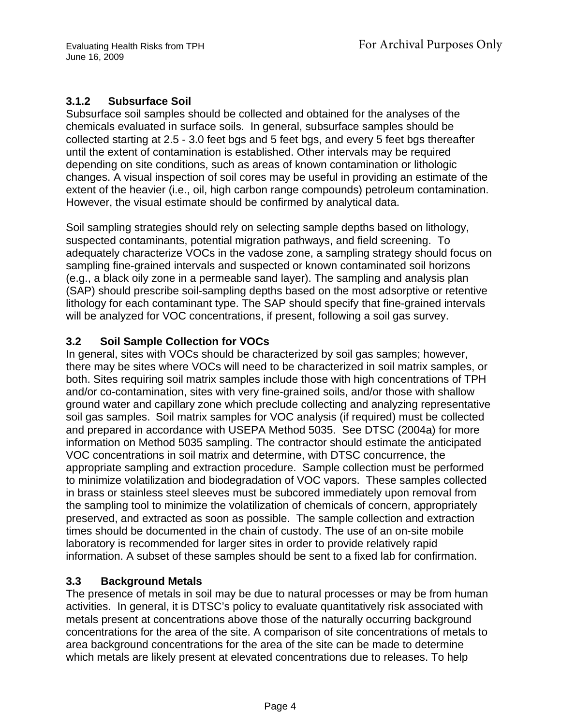## **3.1.2 Subsurface Soil**

Subsurface soil samples should be collected and obtained for the analyses of the chemicals evaluated in surface soils. In general, subsurface samples should be collected starting at 2.5 - 3.0 feet bgs and 5 feet bgs, and every 5 feet bgs thereafter until the extent of contamination is established. Other intervals may be required depending on site conditions, such as areas of known contamination or lithologic changes. A visual inspection of soil cores may be useful in providing an estimate of the extent of the heavier (i.e., oil, high carbon range compounds) petroleum contamination. However, the visual estimate should be confirmed by analytical data.

Soil sampling strategies should rely on selecting sample depths based on lithology, suspected contaminants, potential migration pathways, and field screening. To adequately characterize VOCs in the vadose zone, a sampling strategy should focus on sampling fine-grained intervals and suspected or known contaminated soil horizons (e.g., a black oily zone in a permeable sand layer). The sampling and analysis plan (SAP) should prescribe soil-sampling depths based on the most adsorptive or retentive lithology for each contaminant type. The SAP should specify that fine-grained intervals will be analyzed for VOC concentrations, if present, following a soil gas survey.

### **3.2 Soil Sample Collection for VOCs**

In general, sites with VOCs should be characterized by soil gas samples; however, there may be sites where VOCs will need to be characterized in soil matrix samples, or both. Sites requiring soil matrix samples include those with high concentrations of TPH and/or co-contamination, sites with very fine-grained soils, and/or those with shallow ground water and capillary zone which preclude collecting and analyzing representative soil gas samples. Soil matrix samples for VOC analysis (if required) must be collected and prepared in accordance with USEPA Method 5035. See DTSC (2004a) for more information on Method 5035 sampling. The contractor should estimate the anticipated VOC concentrations in soil matrix and determine, with DTSC concurrence, the appropriate sampling and extraction procedure. Sample collection must be performed to minimize volatilization and biodegradation of VOC vapors. These samples collected in brass or stainless steel sleeves must be subcored immediately upon removal from the sampling tool to minimize the volatilization of chemicals of concern, appropriately preserved, and extracted as soon as possible. The sample collection and extraction times should be documented in the chain of custody. The use of an on-site mobile laboratory is recommended for larger sites in order to provide relatively rapid information. A subset of these samples should be sent to a fixed lab for confirmation.

### **3.3 Background Metals**

The presence of metals in soil may be due to natural processes or may be from human activities. In general, it is DTSC's policy to evaluate quantitatively risk associated with metals present at concentrations above those of the naturally occurring background concentrations for the area of the site. A comparison of site concentrations of metals to area background concentrations for the area of the site can be made to determine which metals are likely present at elevated concentrations due to releases. To help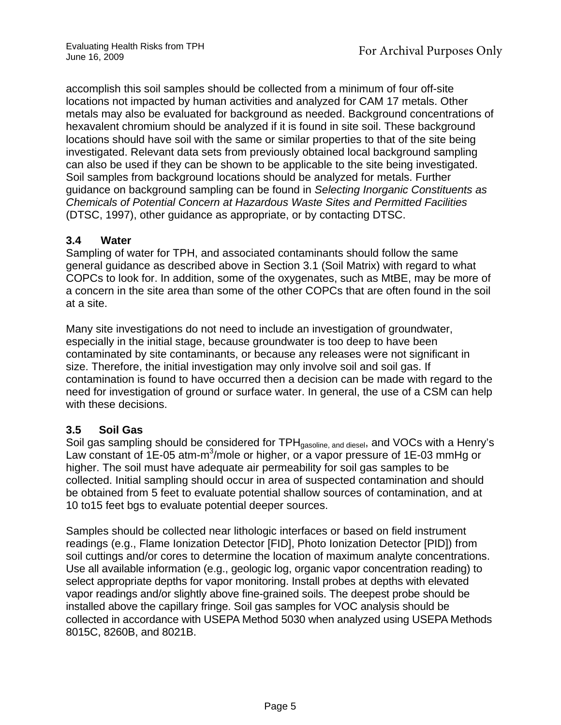accomplish this soil samples should be collected from a minimum of four off-site locations not impacted by human activities and analyzed for CAM 17 metals. Other metals may also be evaluated for background as needed. Background concentrations of hexavalent chromium should be analyzed if it is found in site soil. These background locations should have soil with the same or similar properties to that of the site being investigated. Relevant data sets from previously obtained local background sampling can also be used if they can be shown to be applicable to the site being investigated. Soil samples from background locations should be analyzed for metals. Further guidance on background sampling can be found in *Selecting Inorganic Constituents as Chemicals of Potential Concern at Hazardous Waste Sites and Permitted Facilities*  (DTSC, 1997), other guidance as appropriate, or by contacting DTSC.

#### **3.4 Water**

Sampling of water for TPH, and associated contaminants should follow the same general guidance as described above in Section 3.1 (Soil Matrix) with regard to what COPCs to look for. In addition, some of the oxygenates, such as MtBE, may be more of a concern in the site area than some of the other COPCs that are often found in the soil at a site.

Many site investigations do not need to include an investigation of groundwater, especially in the initial stage, because groundwater is too deep to have been contaminated by site contaminants, or because any releases were not significant in size. Therefore, the initial investigation may only involve soil and soil gas. If contamination is found to have occurred then a decision can be made with regard to the need for investigation of ground or surface water. In general, the use of a CSM can help with these decisions.

#### **3.5 Soil Gas**

Soil gas sampling should be considered for TPH<sub>gasoline, and diesel</sub>, and VOCs with a Henry's Law constant of  $1E$ -05 atm-m<sup>3</sup>/mole or higher, or a vapor pressure of  $1E$ -03 mmHg or higher. The soil must have adequate air permeability for soil gas samples to be collected. Initial sampling should occur in area of suspected contamination and should be obtained from 5 feet to evaluate potential shallow sources of contamination, and at 10 to15 feet bgs to evaluate potential deeper sources.

Samples should be collected near lithologic interfaces or based on field instrument readings (e.g., Flame Ionization Detector [FID], Photo Ionization Detector [PID]) from soil cuttings and/or cores to determine the location of maximum analyte concentrations. Use all available information (e.g., geologic log, organic vapor concentration reading) to select appropriate depths for vapor monitoring. Install probes at depths with elevated vapor readings and/or slightly above fine-grained soils. The deepest probe should be installed above the capillary fringe. Soil gas samples for VOC analysis should be collected in accordance with USEPA Method 5030 when analyzed using USEPA Methods 8015C, 8260B, and 8021B.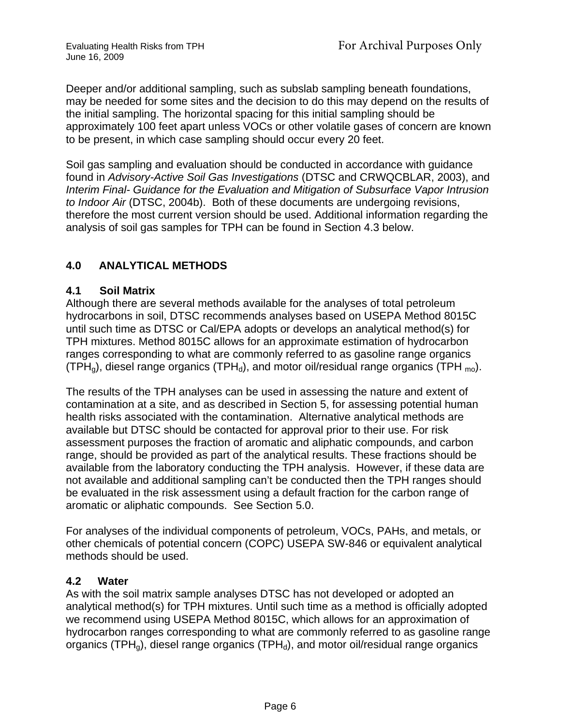Deeper and/or additional sampling, such as subslab sampling beneath foundations, may be needed for some sites and the decision to do this may depend on the results of the initial sampling. The horizontal spacing for this initial sampling should be approximately 100 feet apart unless VOCs or other volatile gases of concern are known to be present, in which case sampling should occur every 20 feet.

Soil gas sampling and evaluation should be conducted in accordance with guidance found in *Advisory-Active Soil Gas Investigations* (DTSC and CRWQCBLAR, 2003), and *Interim Final- Guidance for the Evaluation and Mitigation of Subsurface Vapor Intrusion to Indoor Air* (DTSC, 2004b). Both of these documents are undergoing revisions, therefore the most current version should be used. Additional information regarding the analysis of soil gas samples for TPH can be found in Section 4.3 below.

### **4.0 ANALYTICAL METHODS**

#### **4.1 Soil Matrix**

Although there are several methods available for the analyses of total petroleum hydrocarbons in soil, DTSC recommends analyses based on USEPA Method 8015C until such time as DTSC or Cal/EPA adopts or develops an analytical method(s) for TPH mixtures. Method 8015C allows for an approximate estimation of hydrocarbon ranges corresponding to what are commonly referred to as gasoline range organics (TPH<sub>a</sub>), diesel range organics (TPH<sub>a</sub>), and motor oil/residual range organics (TPH <sub>mo</sub>).

The results of the TPH analyses can be used in assessing the nature and extent of contamination at a site, and as described in Section 5, for assessing potential human health risks associated with the contamination. Alternative analytical methods are available but DTSC should be contacted for approval prior to their use. For risk assessment purposes the fraction of aromatic and aliphatic compounds, and carbon range, should be provided as part of the analytical results. These fractions should be available from the laboratory conducting the TPH analysis. However, if these data are not available and additional sampling can't be conducted then the TPH ranges should be evaluated in the risk assessment using a default fraction for the carbon range of aromatic or aliphatic compounds. See Section 5.0.

For analyses of the individual components of petroleum, VOCs, PAHs, and metals, or other chemicals of potential concern (COPC) USEPA SW-846 or equivalent analytical methods should be used.

#### **4.2 Water**

As with the soil matrix sample analyses DTSC has not developed or adopted an analytical method(s) for TPH mixtures. Until such time as a method is officially adopted we recommend using USEPA Method 8015C, which allows for an approximation of hydrocarbon ranges corresponding to what are commonly referred to as gasoline range organics (TPH $_{0}$ ), diesel range organics (TPH $_{d}$ ), and motor oil/residual range organics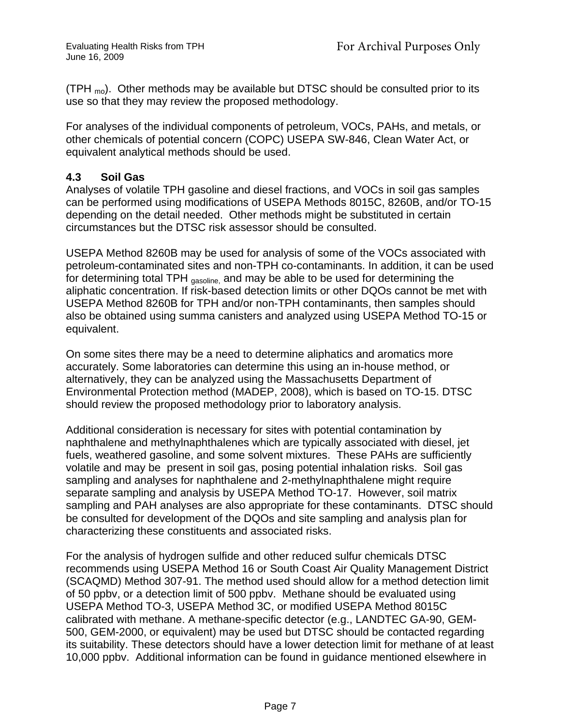(TPH  $_{\text{mo}}$ ). Other methods may be available but DTSC should be consulted prior to its use so that they may review the proposed methodology.

For analyses of the individual components of petroleum, VOCs, PAHs, and metals, or other chemicals of potential concern (COPC) USEPA SW-846, Clean Water Act, or equivalent analytical methods should be used.

### **4.3 Soil Gas**

Analyses of volatile TPH gasoline and diesel fractions, and VOCs in soil gas samples can be performed using modifications of USEPA Methods 8015C, 8260B, and/or TO-15 depending on the detail needed. Other methods might be substituted in certain circumstances but the DTSC risk assessor should be consulted.

USEPA Method 8260B may be used for analysis of some of the VOCs associated with petroleum-contaminated sites and non-TPH co-contaminants. In addition, it can be used for determining total TPH gasoline, and may be able to be used for determining the aliphatic concentration. If risk-based detection limits or other DQOs cannot be met with USEPA Method 8260B for TPH and/or non-TPH contaminants, then samples should also be obtained using summa canisters and analyzed using USEPA Method TO-15 or equivalent.

On some sites there may be a need to determine aliphatics and aromatics more accurately. Some laboratories can determine this using an in-house method, or alternatively, they can be analyzed using the Massachusetts Department of Environmental Protection method (MADEP, 2008), which is based on TO-15. DTSC should review the proposed methodology prior to laboratory analysis.

Additional consideration is necessary for sites with potential contamination by naphthalene and methylnaphthalenes which are typically associated with diesel, jet fuels, weathered gasoline, and some solvent mixtures. These PAHs are sufficiently volatile and may be present in soil gas, posing potential inhalation risks. Soil gas sampling and analyses for naphthalene and 2-methylnaphthalene might require separate sampling and analysis by USEPA Method TO-17. However, soil matrix sampling and PAH analyses are also appropriate for these contaminants. DTSC should be consulted for development of the DQOs and site sampling and analysis plan for characterizing these constituents and associated risks.

For the analysis of hydrogen sulfide and other reduced sulfur chemicals DTSC recommends using USEPA Method 16 or South Coast Air Quality Management District (SCAQMD) Method 307-91. The method used should allow for a method detection limit of 50 ppbv, or a detection limit of 500 ppbv. Methane should be evaluated using USEPA Method TO-3, USEPA Method 3C, or modified USEPA Method 8015C calibrated with methane. A methane-specific detector (e.g., LANDTEC GA-90, GEM-500, GEM-2000, or equivalent) may be used but DTSC should be contacted regarding its suitability. These detectors should have a lower detection limit for methane of at least 10,000 ppbv. Additional information can be found in guidance mentioned elsewhere in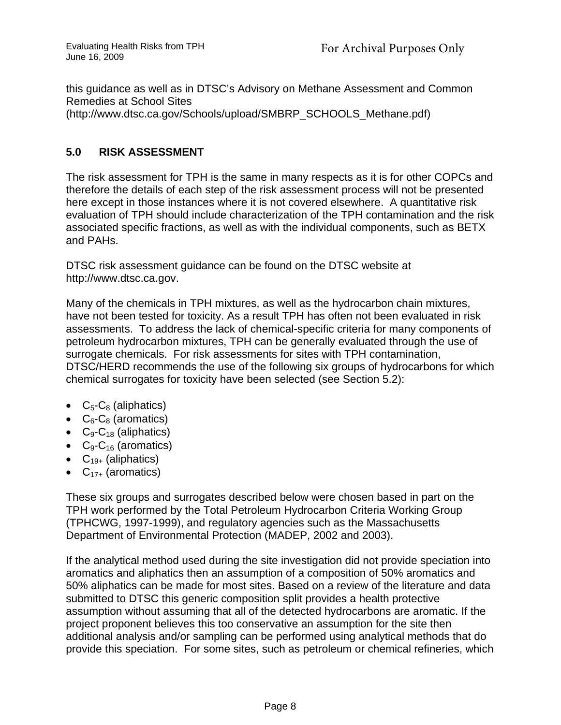this guidance as well as in DTSC's Advisory on Methane Assessment and Common Remedies at School Sites (http://www.dtsc.ca.gov/Schools/upload/SMBRP\_SCHOOLS\_Methane.pdf)

#### **5.0 RISK ASSESSMENT**

The risk assessment for TPH is the same in many respects as it is for other COPCs and therefore the details of each step of the risk assessment process will not be presented here except in those instances where it is not covered elsewhere. A quantitative risk evaluation of TPH should include characterization of the TPH contamination and the risk associated specific fractions, as well as with the individual components, such as BETX and PAHs.

DTSC risk assessment guidance can be found on the DTSC website at http://www.dtsc.ca.gov.

Many of the chemicals in TPH mixtures, as well as the hydrocarbon chain mixtures, have not been tested for toxicity. As a result TPH has often not been evaluated in risk assessments. To address the lack of chemical-specific criteria for many components of petroleum hydrocarbon mixtures, TPH can be generally evaluated through the use of surrogate chemicals. For risk assessments for sites with TPH contamination, DTSC/HERD recommends the use of the following six groups of hydrocarbons for which chemical surrogates for toxicity have been selected (see Section 5.2):

- $C_5$ - $C_8$  (aliphatics)
- $C_6$ - $C_8$  (aromatics)
- $C_9$ - $C_{18}$  (aliphatics)
- $C_9$ - $C_{16}$  (aromatics)
- $C_{19+}$  (aliphatics)
- $C_{17+}$  (aromatics)

These six groups and surrogates described below were chosen based in part on the TPH work performed by the Total Petroleum Hydrocarbon Criteria Working Group (TPHCWG, 1997-1999), and regulatory agencies such as the Massachusetts Department of Environmental Protection (MADEP, 2002 and 2003).

If the analytical method used during the site investigation did not provide speciation into aromatics and aliphatics then an assumption of a composition of 50% aromatics and 50% aliphatics can be made for most sites. Based on a review of the literature and data submitted to DTSC this generic composition split provides a health protective assumption without assuming that all of the detected hydrocarbons are aromatic. If the project proponent believes this too conservative an assumption for the site then additional analysis and/or sampling can be performed using analytical methods that do provide this speciation. For some sites, such as petroleum or chemical refineries, which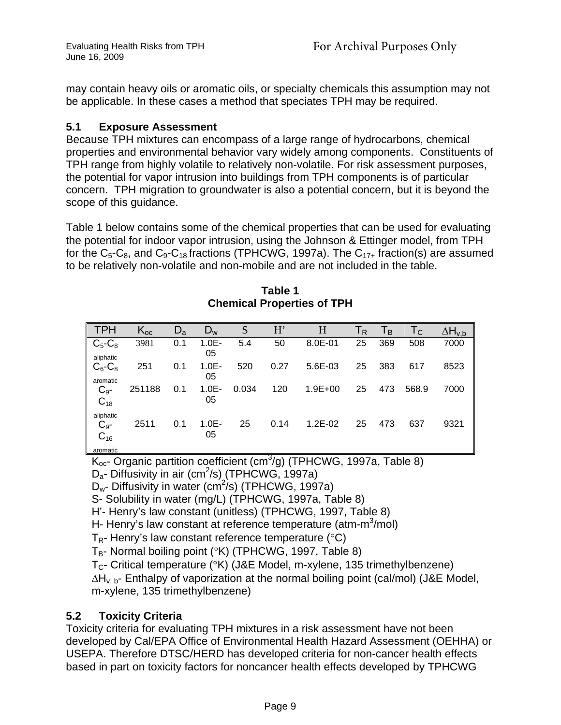may contain heavy oils or aromatic oils, or specialty chemicals this assumption may not be applicable. In these cases a method that speciates TPH may be required.

### **5.1 Exposure Assessment**

Because TPH mixtures can encompass of a large range of hydrocarbons, chemical properties and environmental behavior vary widely among components. Constituents of TPH range from highly volatile to relatively non-volatile. For risk assessment purposes, the potential for vapor intrusion into buildings from TPH components is of particular concern. TPH migration to groundwater is also a potential concern, but it is beyond the scope of this guidance.

Table 1 below contains some of the chemical properties that can be used for evaluating the potential for indoor vapor intrusion, using the Johnson & Ettinger model, from TPH for the  $C_5$ -C<sub>8</sub>, and  $C_9$ -C<sub>18</sub> fractions (TPHCWG, 1997a). The  $C_{17+}$  fraction(s) are assumed to be relatively non-volatile and non-mobile and are not included in the table.

| <b>TPH</b>                         | $K_{oc}$ | $D_{\rm a}$ | $D_w$          | S     | H'   | H           | $\mathsf{T}_{\mathsf{R}}$ | Тв  | Тc    | $\Delta H_{\nu,b}$ |
|------------------------------------|----------|-------------|----------------|-------|------|-------------|---------------------------|-----|-------|--------------------|
| $C_5$ - $C_8$<br>aliphatic         | 3981     | 0.1         | $1.0E -$<br>05 | 5.4   | 50   | 8.0E-01     | 25                        | 369 | 508   | 7000               |
| $C_6$ - $C_8$<br>aromatic          | 251      | 0.1         | $1.0E -$<br>05 | 520   | 0.27 | 5.6E-03     | 25                        | 383 | 617   | 8523               |
| $C_{9}$ -<br>$C_{18}$              | 251188   | 0.1         | $1.0E -$<br>05 | 0.034 | 120  | $1.9E + 00$ | 25                        | 473 | 568.9 | 7000               |
| aliphatic<br>$C_{9}$ -<br>$C_{16}$ | 2511     | 0.1         | $1.0E -$<br>05 | 25    | 0.14 | $1.2E - 02$ | 25                        | 473 | 637   | 9321               |
| aromatic                           |          |             |                |       |      |             |                           |     |       |                    |

**Table 1 Chemical Properties of TPH** 

 $\mathsf{K}_{\text{oc}}$ - Organic partition coefficient (cm<sup>3</sup>/g) (TPHCWG, 1997a, Table 8)  $D_a$ - Diffusivity in air (cm<sup>2</sup>/s) (TPHCWG, 1997a)

 $D_w$ - Diffusivity in water (cm<sup>2</sup>/s) (TPHCWG, 1997a)

S- Solubility in water (mg/L) (TPHCWG, 1997a, Table 8)

H'- Henry's law constant (unitless) (TPHCWG, 1997, Table 8)

H- Henry's law constant at reference temperature (atm-m<sup>3</sup>/mol)

 $T_{\text{R}}$ - Henry's law constant reference temperature (°C)

 $T_B$ - Normal boiling point (°K) (TPHCWG, 1997, Table 8)

 $T_{C}$ - Critical temperature (°K) (J&E Model, m-xylene, 135 trimethylbenzene)

 $\Delta H_{v, b}$ - Enthalpy of vaporization at the normal boiling point (cal/mol) (J&E Model, m-xylene, 135 trimethylbenzene)

# **5.2 Toxicity Criteria**

Toxicity criteria for evaluating TPH mixtures in a risk assessment have not been developed by Cal/EPA Office of Environmental Health Hazard Assessment (OEHHA) or USEPA. Therefore DTSC/HERD has developed criteria for non-cancer health effects based in part on toxicity factors for noncancer health effects developed by TPHCWG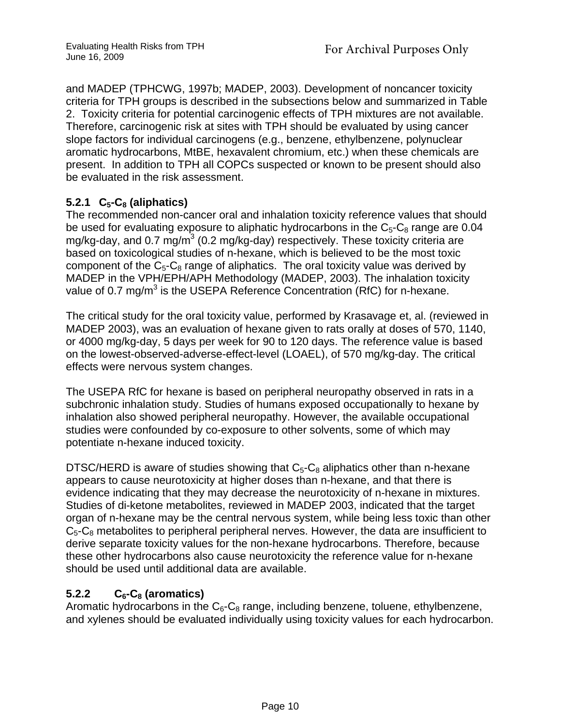and MADEP (TPHCWG, 1997b; MADEP, 2003). Development of noncancer toxicity criteria for TPH groups is described in the subsections below and summarized in Table 2. Toxicity criteria for potential carcinogenic effects of TPH mixtures are not available. Therefore, carcinogenic risk at sites with TPH should be evaluated by using cancer slope factors for individual carcinogens (e.g., benzene, ethylbenzene, polynuclear aromatic hydrocarbons, MtBE, hexavalent chromium, etc.) when these chemicals are present. In addition to TPH all COPCs suspected or known to be present should also be evaluated in the risk assessment.

# **5.2.1 C5-C8 (aliphatics)**

The recommended non-cancer oral and inhalation toxicity reference values that should be used for evaluating exposure to aliphatic hydrocarbons in the  $C_5-C_8$  range are 0.04 mg/kg-day, and 0.7 mg/m<sup>3</sup> (0.2 mg/kg-day) respectively. These toxicity criteria are based on toxicological studies of n-hexane, which is believed to be the most toxic component of the  $C_5-C_8$  range of aliphatics. The oral toxicity value was derived by MADEP in the VPH/EPH/APH Methodology (MADEP, 2003). The inhalation toxicity value of 0.7 mg/m<sup>3</sup> is the USEPA Reference Concentration (RfC) for n-hexane.

The critical study for the oral toxicity value, performed by Krasavage et, al. (reviewed in MADEP 2003), was an evaluation of hexane given to rats orally at doses of 570, 1140, or 4000 mg/kg-day, 5 days per week for 90 to 120 days. The reference value is based on the lowest-observed-adverse-effect-level (LOAEL), of 570 mg/kg-day. The critical effects were nervous system changes.

The USEPA RfC for hexane is based on peripheral neuropathy observed in rats in a subchronic inhalation study. Studies of humans exposed occupationally to hexane by inhalation also showed peripheral neuropathy. However, the available occupational studies were confounded by co-exposure to other solvents, some of which may potentiate n-hexane induced toxicity.

DTSC/HERD is aware of studies showing that  $C_5-C_8$  aliphatics other than n-hexane appears to cause neurotoxicity at higher doses than n-hexane, and that there is evidence indicating that they may decrease the neurotoxicity of n-hexane in mixtures. Studies of di-ketone metabolites, reviewed in MADEP 2003, indicated that the target organ of n-hexane may be the central nervous system, while being less toxic than other  $C_5-C_8$  metabolites to peripheral peripheral nerves. However, the data are insufficient to derive separate toxicity values for the non-hexane hydrocarbons. Therefore, because these other hydrocarbons also cause neurotoxicity the reference value for n-hexane should be used until additional data are available.

# 5.2.2 C<sub>6</sub>-C<sub>8</sub> (aromatics)

Aromatic hydrocarbons in the  $C_6$ - $C_8$  range, including benzene, toluene, ethylbenzene, and xylenes should be evaluated individually using toxicity values for each hydrocarbon.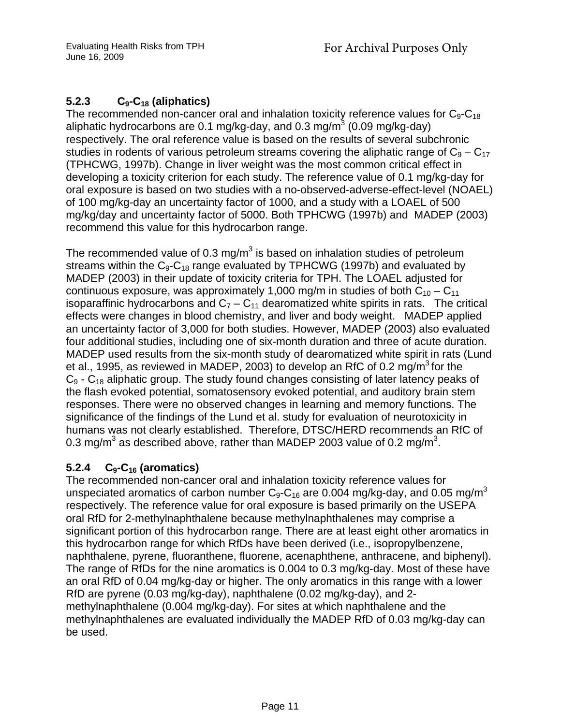# **5.2.3 C9-C18 (aliphatics)**

The recommended non-cancer oral and inhalation toxicity reference values for  $C_9-C_{18}$ aliphatic hydrocarbons are 0.1 mg/kg-day, and 0.3 mg/m $3$  (0.09 mg/kg-day) respectively. The oral reference value is based on the results of several subchronic studies in rodents of various petroleum streams covering the aliphatic range of  $C_9 - C_{17}$ (TPHCWG, 1997b). Change in liver weight was the most common critical effect in developing a toxicity criterion for each study. The reference value of 0.1 mg/kg-day for oral exposure is based on two studies with a no-observed-adverse-effect-level (NOAEL) of 100 mg/kg-day an uncertainty factor of 1000, and a study with a LOAEL of 500 mg/kg/day and uncertainty factor of 5000. Both TPHCWG (1997b) and MADEP (2003) recommend this value for this hydrocarbon range.

The recommended value of 0.3 mg/m<sup>3</sup> is based on inhalation studies of petroleum streams within the  $C_9-C_{18}$  range evaluated by TPHCWG (1997b) and evaluated by MADEP (2003) in their update of toxicity criteria for TPH. The LOAEL adjusted for continuous exposure, was approximately 1,000 mg/m in studies of both  $C_{10} - C_{11}$ isoparaffinic hydrocarbons and  $C_7 - C_{11}$  dearomatized white spirits in rats. The critical effects were changes in blood chemistry, and liver and body weight. MADEP applied an uncertainty factor of 3,000 for both studies. However, MADEP (2003) also evaluated four additional studies, including one of six-month duration and three of acute duration. MADEP used results from the six-month study of dearomatized white spirit in rats (Lund et al., 1995, as reviewed in MADEP, 2003) to develop an RfC of 0.2 mg/m<sup>3</sup> for the  $C_9$  -  $C_{18}$  aliphatic group. The study found changes consisting of later latency peaks of the flash evoked potential, somatosensory evoked potential, and auditory brain stem responses. There were no observed changes in learning and memory functions. The significance of the findings of the Lund et al. study for evaluation of neurotoxicity in humans was not clearly established. Therefore, DTSC/HERD recommends an RfC of 0.3 mg/m<sup>3</sup> as described above, rather than MADEP 2003 value of 0.2 mg/m<sup>3</sup>.

### **5.2.4 C9-C16 (aromatics)**

The recommended non-cancer oral and inhalation toxicity reference values for unspeciated aromatics of carbon number  $C_9-C_{16}$  are 0.004 mg/kg-day, and 0.05 mg/m<sup>3</sup> respectively. The reference value for oral exposure is based primarily on the USEPA oral RfD for 2-methylnaphthalene because methylnaphthalenes may comprise a significant portion of this hydrocarbon range. There are at least eight other aromatics in this hydrocarbon range for which RfDs have been derived (i.e., isopropylbenzene, naphthalene, pyrene, fluoranthene, fluorene, acenaphthene, anthracene, and biphenyl). The range of RfDs for the nine aromatics is 0.004 to 0.3 mg/kg-day. Most of these have an oral RfD of 0.04 mg/kg-day or higher. The only aromatics in this range with a lower RfD are pyrene (0.03 mg/kg-day), naphthalene (0.02 mg/kg-day), and 2 methylnaphthalene (0.004 mg/kg-day). For sites at which naphthalene and the methylnaphthalenes are evaluated individually the MADEP RfD of 0.03 mg/kg-day can be used.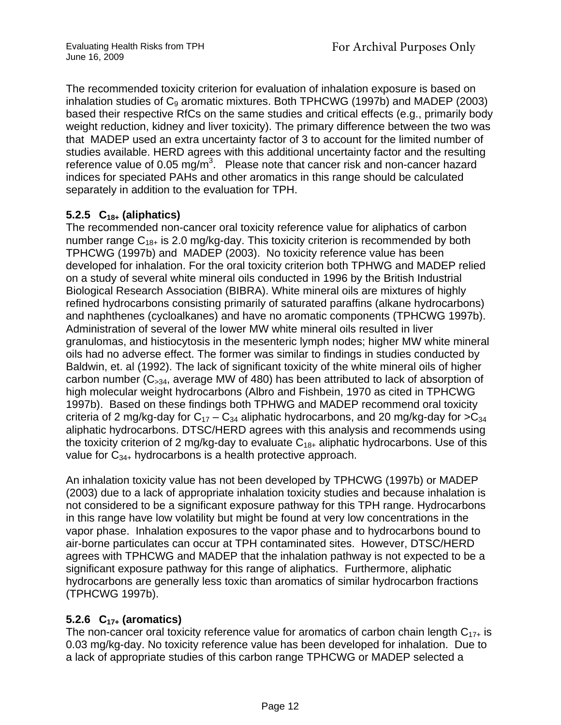The recommended toxicity criterion for evaluation of inhalation exposure is based on inhalation studies of  $C_9$  aromatic mixtures. Both TPHCWG (1997b) and MADEP (2003) based their respective RfCs on the same studies and critical effects (e.g., primarily body weight reduction, kidney and liver toxicity). The primary difference between the two was that MADEP used an extra uncertainty factor of 3 to account for the limited number of studies available. HERD agrees with this additional uncertainty factor and the resulting reference value of 0.05 mg/m<sup>3</sup>. Please note that cancer risk and non-cancer hazard indices for speciated PAHs and other aromatics in this range should be calculated separately in addition to the evaluation for TPH.

# **5.2.5 C18+ (aliphatics)**

The recommended non-cancer oral toxicity reference value for aliphatics of carbon number range  $C_{18+}$  is 2.0 mg/kg-day. This toxicity criterion is recommended by both TPHCWG (1997b) and MADEP (2003). No toxicity reference value has been developed for inhalation. For the oral toxicity criterion both TPHWG and MADEP relied on a study of several white mineral oils conducted in 1996 by the British Industrial Biological Research Association (BIBRA). White mineral oils are mixtures of highly refined hydrocarbons consisting primarily of saturated paraffins (alkane hydrocarbons) and naphthenes (cycloalkanes) and have no aromatic components (TPHCWG 1997b). Administration of several of the lower MW white mineral oils resulted in liver granulomas, and histiocytosis in the mesenteric lymph nodes; higher MW white mineral oils had no adverse effect. The former was similar to findings in studies conducted by Baldwin, et. al (1992). The lack of significant toxicity of the white mineral oils of higher carbon number  $(C_{>34}$ , average MW of 480) has been attributed to lack of absorption of high molecular weight hydrocarbons (Albro and Fishbein, 1970 as cited in TPHCWG 1997b). Based on these findings both TPHWG and MADEP recommend oral toxicity criteria of 2 mg/kg-day for  $C_{17} - C_{34}$  aliphatic hydrocarbons, and 20 mg/kg-day for  $>C_{34}$ aliphatic hydrocarbons. DTSC/HERD agrees with this analysis and recommends using the toxicity criterion of 2 mg/kg-day to evaluate  $C_{18+}$  aliphatic hydrocarbons. Use of this value for  $C_{34+}$  hydrocarbons is a health protective approach.

An inhalation toxicity value has not been developed by TPHCWG (1997b) or MADEP (2003) due to a lack of appropriate inhalation toxicity studies and because inhalation is not considered to be a significant exposure pathway for this TPH range. Hydrocarbons in this range have low volatility but might be found at very low concentrations in the vapor phase. Inhalation exposures to the vapor phase and to hydrocarbons bound to air-borne particulates can occur at TPH contaminated sites. However, DTSC/HERD agrees with TPHCWG and MADEP that the inhalation pathway is not expected to be a significant exposure pathway for this range of aliphatics. Furthermore, aliphatic hydrocarbons are generally less toxic than aromatics of similar hydrocarbon fractions (TPHCWG 1997b).

# **5.2.6 C17+ (aromatics)**

The non-cancer oral toxicity reference value for aromatics of carbon chain length  $C_{17+}$  is 0.03 mg/kg-day. No toxicity reference value has been developed for inhalation. Due to a lack of appropriate studies of this carbon range TPHCWG or MADEP selected a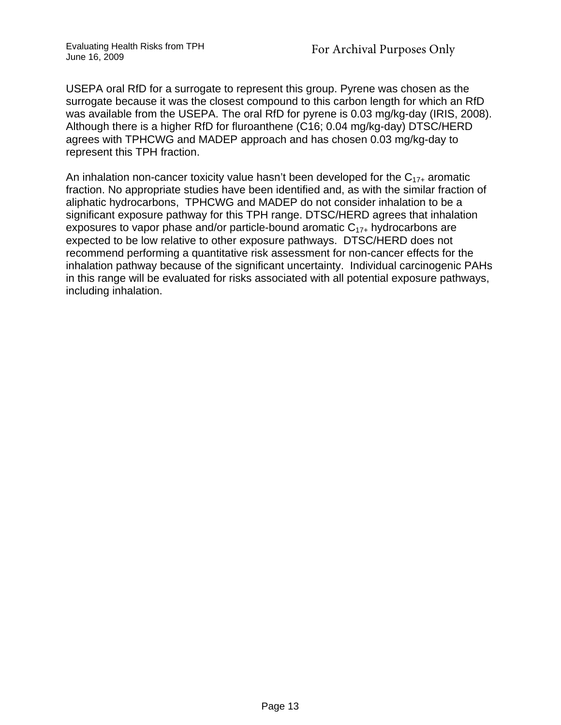Evaluating Health Risks from TPH June 16, 2009

USEPA oral RfD for a surrogate to represent this group. Pyrene was chosen as the surrogate because it was the closest compound to this carbon length for which an RfD was available from the USEPA. The oral RfD for pyrene is 0.03 mg/kg-day (IRIS, 2008). Although there is a higher RfD for fluroanthene (C16; 0.04 mg/kg-day) DTSC/HERD agrees with TPHCWG and MADEP approach and has chosen 0.03 mg/kg-day to represent this TPH fraction.

An inhalation non-cancer toxicity value hasn't been developed for the  $C_{17+}$  aromatic fraction. No appropriate studies have been identified and, as with the similar fraction of aliphatic hydrocarbons, TPHCWG and MADEP do not consider inhalation to be a significant exposure pathway for this TPH range. DTSC/HERD agrees that inhalation exposures to vapor phase and/or particle-bound aromatic  $C_{17+}$  hydrocarbons are expected to be low relative to other exposure pathways. DTSC/HERD does not recommend performing a quantitative risk assessment for non-cancer effects for the inhalation pathway because of the significant uncertainty. Individual carcinogenic PAHs in this range will be evaluated for risks associated with all potential exposure pathways, including inhalation.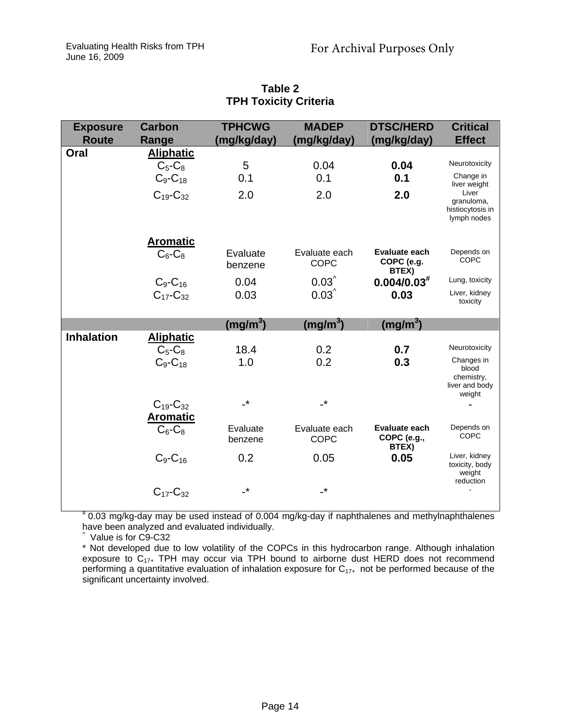| <b>Exposure</b><br><b>Route</b> | Carbon<br>Range                        | <b>TPHCWG</b><br>(mg/kg/day) | <b>MADEP</b><br>(mg/kg/day)  | <b>DTSC/HERD</b><br>(mg/kg/day)              | <b>Critical</b><br><b>Effect</b>                              |
|---------------------------------|----------------------------------------|------------------------------|------------------------------|----------------------------------------------|---------------------------------------------------------------|
| Oral                            | <b>Aliphatic</b>                       |                              |                              |                                              |                                                               |
|                                 | $C_5-C_8$                              | 5                            | 0.04                         | 0.04                                         | Neurotoxicity                                                 |
|                                 | $C_9$ - $C_{18}$                       | 0.1                          | 0.1                          | 0.1                                          | Change in<br>liver weight                                     |
|                                 | $C_{19}$ - $C_{32}$                    | 2.0                          | 2.0                          | 2.0                                          | Liver<br>granuloma,<br>histiocytosis in<br>lymph nodes        |
|                                 | <b>Aromatic</b>                        |                              |                              |                                              |                                                               |
|                                 | $C_6$ - $C_8$                          | Evaluate<br>benzene          | Evaluate each<br><b>COPC</b> | Evaluate each<br>COPC (e.g.<br>BTEX)         | Depends on<br><b>COPC</b>                                     |
|                                 | $C_9$ - $C_{16}$                       | 0.04                         | $0.03^$                      | $0.004/0.03$ <sup>#</sup>                    | Lung, toxicity                                                |
|                                 | $C_{17}$ - $C_{32}$                    | 0.03                         | $0.03^$                      | 0.03                                         | Liver, kidney<br>toxicity                                     |
|                                 |                                        | (mg/m <sup>3</sup> )         | (mg/m <sup>3</sup> )         | (mg/m <sup>3</sup> )                         |                                                               |
| <b>Inhalation</b>               | <b>Aliphatic</b>                       |                              |                              |                                              |                                                               |
|                                 | $C_5-C_8$                              | 18.4                         | 0.2                          | 0.7                                          | Neurotoxicity                                                 |
|                                 | $C_9$ - $C_{18}$                       | 1.0                          | 0.2                          | 0.3                                          | Changes in<br>blood<br>chemistry,<br>liver and body<br>weight |
|                                 | $C_{19}$ - $C_{32}$<br><b>Aromatic</b> | $\cdot^*$                    | $\mathbf{r}$                 |                                              |                                                               |
|                                 | $C_6$ - $C_8$                          | Evaluate<br>benzene          | Evaluate each<br><b>COPC</b> | <b>Evaluate each</b><br>COPC (e.g.,<br>BTEX) | Depends on<br><b>COPC</b>                                     |
|                                 | $C_9$ - $C_{16}$                       | 0.2                          | 0.05                         | 0.05                                         | Liver, kidney<br>toxicity, body<br>weight<br>reduction        |
|                                 | $C_{17}$ - $C_{32}$                    | $\cdot^*$                    | $\overline{\phantom{a}}^*$   |                                              |                                                               |

**Table 2 TPH Toxicity Criteria** 

# 0.03 mg/kg-day may be used instead of 0.004 mg/kg-day if naphthalenes and methylnaphthalenes have been analyzed and evaluated individually. ^ Value is for C9-C32

\* Not developed due to low volatility of the COPCs in this hydrocarbon range. Although inhalation exposure to  $C_{17+}$  TPH may occur via TPH bound to airborne dust HERD does not recommend performing a quantitative evaluation of inhalation exposure for  $C_{17+}$  not be performed because of the significant uncertainty involved.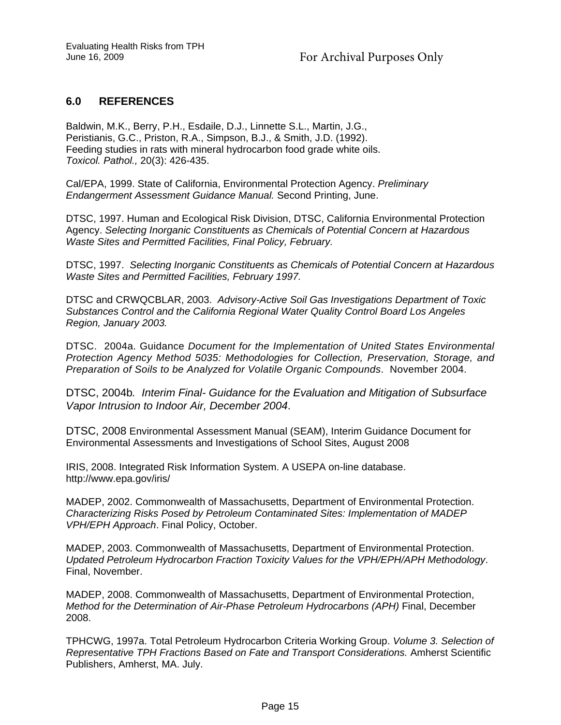#### **6.0 REFERENCES**

Baldwin, M.K., Berry, P.H., Esdaile, D.J., Linnette S.L., Martin, J.G., Peristianis, G.C., Priston, R.A., Simpson, B.J., & Smith, J.D. (1992). Feeding studies in rats with mineral hydrocarbon food grade white oils. *Toxicol. Pathol.,* 20(3): 426-435.

Cal/EPA, 1999. State of California, Environmental Protection Agency. *Preliminary Endangerment Assessment Guidance Manual.* Second Printing, June.

DTSC, 1997. Human and Ecological Risk Division, DTSC, California Environmental Protection Agency. *Selecting Inorganic Constituents as Chemicals of Potential Concern at Hazardous Waste Sites and Permitted Facilities, Final Policy, February.*

DTSC, 1997. *Selecting Inorganic Constituents as Chemicals of Potential Concern at Hazardous Waste Sites and Permitted Facilities, February 1997.* 

DTSC and CRWQCBLAR, 2003. *Advisory-Active Soil Gas Investigations Department of Toxic Substances Control and the California Regional Water Quality Control Board Los Angeles Region, January 2003.* 

DTSC. 2004a. Guidance *Document for the Implementation of United States Environmental Protection Agency Method 5035: Methodologies for Collection, Preservation, Storage, and Preparation of Soils to be Analyzed for Volatile Organic Compounds*. November 2004.

DTSC, 2004b*. Interim Final- Guidance for the Evaluation and Mitigation of Subsurface Vapor Intrusion to Indoor Air, December 2004*.

DTSC, 2008 Environmental Assessment Manual (SEAM), Interim Guidance Document for Environmental Assessments and Investigations of School Sites, August 2008

IRIS, 2008. Integrated Risk Information System. A USEPA on-line database. http://www.epa.gov/iris/

MADEP, 2002. Commonwealth of Massachusetts, Department of Environmental Protection. *Characterizing Risks Posed by Petroleum Contaminated Sites: Implementation of MADEP VPH/EPH Approach*. Final Policy, October.

MADEP, 2003. Commonwealth of Massachusetts, Department of Environmental Protection. *Updated Petroleum Hydrocarbon Fraction Toxicity Values for the VPH/EPH/APH Methodology*. Final, November.

MADEP, 2008. Commonwealth of Massachusetts, Department of Environmental Protection, *Method for the Determination of Air-Phase Petroleum Hydrocarbons (APH)* Final, December 2008.

TPHCWG, 1997a. Total Petroleum Hydrocarbon Criteria Working Group. *Volume 3. Selection of Representative TPH Fractions Based on Fate and Transport Considerations.* Amherst Scientific Publishers, Amherst, MA. July.